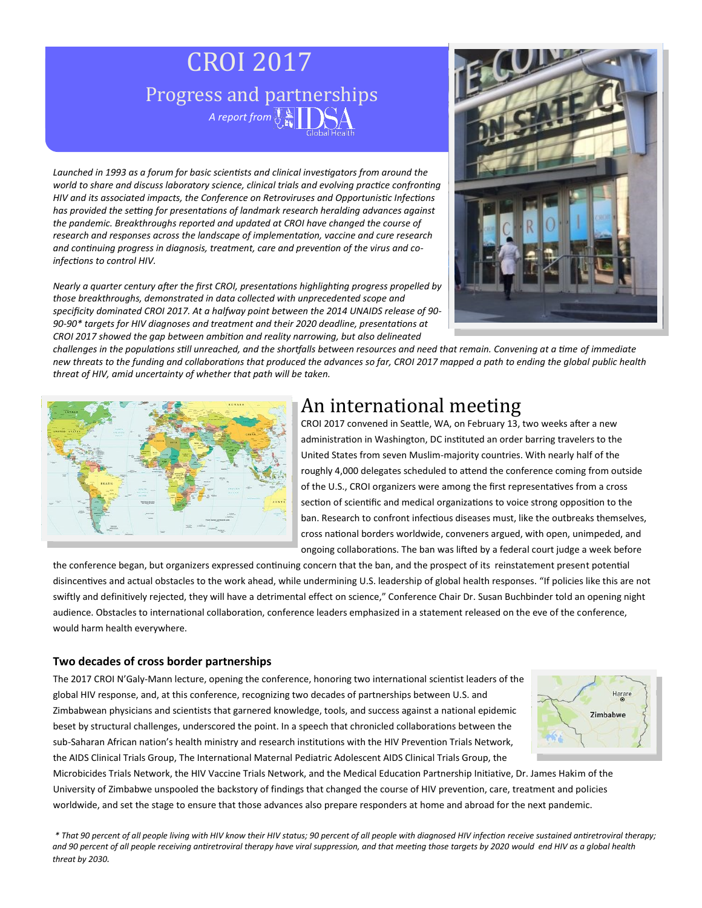# CROI 2017 Progress and partnerships *A report from*  $\left[\begin{array}{c} \bullet \\ \bullet \\ \bullet \end{array}\right]$

*Launched in 1993 as a forum for basic scientists and clinical investigators from around the world to share and discuss laboratory science, clinical trials and evolving practice confronting HIV and its associated impacts, the Conference on Retroviruses and Opportunistic Infections has provided the setting for presentations of landmark research heralding advances against the pandemic. Breakthroughs reported and updated at CROI have changed the course of research and responses across the landscape of implementation, vaccine and cure research and continuing progress in diagnosis, treatment, care and prevention of the virus and coinfections to control HIV.* 

*Nearly a quarter century after the first CROI, presentations highlighting progress propelled by those breakthroughs, demonstrated in data collected with unprecedented scope and specificity dominated CROI 2017. At a halfway point between the 2014 UNAIDS release of 90- 90-90\* targets for HIV diagnoses and treatment and their 2020 deadline, presentations at CROI 2017 showed the gap between ambition and reality narrowing, but also delineated* 



*challenges in the populations still unreached, and the shortfalls between resources and need that remain. Convening at a time of immediate new threats to the funding and collaborations that produced the advances so far, CROI 2017 mapped a path to ending the global public health threat of HIV, amid uncertainty of whether that path will be taken.*



### An international meeting

CROI 2017 convened in Seattle, WA, on February 13, two weeks after a new administration in Washington, DC instituted an order barring travelers to the United States from seven Muslim-majority countries. With nearly half of the roughly 4,000 delegates scheduled to attend the conference coming from outside of the U.S., CROI organizers were among the first representatives from a cross section of scientific and medical organizations to voice strong opposition to the ban. Research to confront infectious diseases must, like the outbreaks themselves, cross national borders worldwide, conveners argued, with open, unimpeded, and ongoing collaborations. The ban was lifted by a federal court judge a week before

the conference began, but organizers expressed continuing concern that the ban, and the prospect of its reinstatement present potential disincentives and actual obstacles to the work ahead, while undermining U.S. leadership of global health responses. "If policies like this are not swiftly and definitively rejected, they will have a detrimental effect on science," Conference Chair Dr. Susan Buchbinder told an opening night audience. Obstacles to international collaboration, conference leaders emphasized in a statement released on the eve of the conference, would harm health everywhere.

#### **Two decades of cross border partnerships**

The 2017 CROI N'Galy-Mann lecture, opening the conference, honoring two international scientist leaders of the global HIV response, and, at this conference, recognizing two decades of partnerships between U.S. and Zimbabwean physicians and scientists that garnered knowledge, tools, and success against a national epidemic beset by structural challenges, underscored the point. In a speech that chronicled collaborations between the sub-Saharan African nation's health ministry and research institutions with the HIV Prevention Trials Network, the AIDS Clinical Trials Group, The International Maternal Pediatric Adolescent AIDS Clinical Trials Group, the



Microbicides Trials Network, the HIV Vaccine Trials Network, and the Medical Education Partnership Initiative, Dr. James Hakim of the University of Zimbabwe unspooled the backstory of findings that changed the course of HIV prevention, care, treatment and policies worldwide, and set the stage to ensure that those advances also prepare responders at home and abroad for the next pandemic.

*\* That 90 percent of all people living with HIV know their HIV status; 90 percent of all people with diagnosed HIV infection receive sustained antiretroviral therapy; and 90 percent of all people receiving antiretroviral therapy have viral suppression, and that meeting those targets by 2020 would end HIV as a global health threat by 2030.*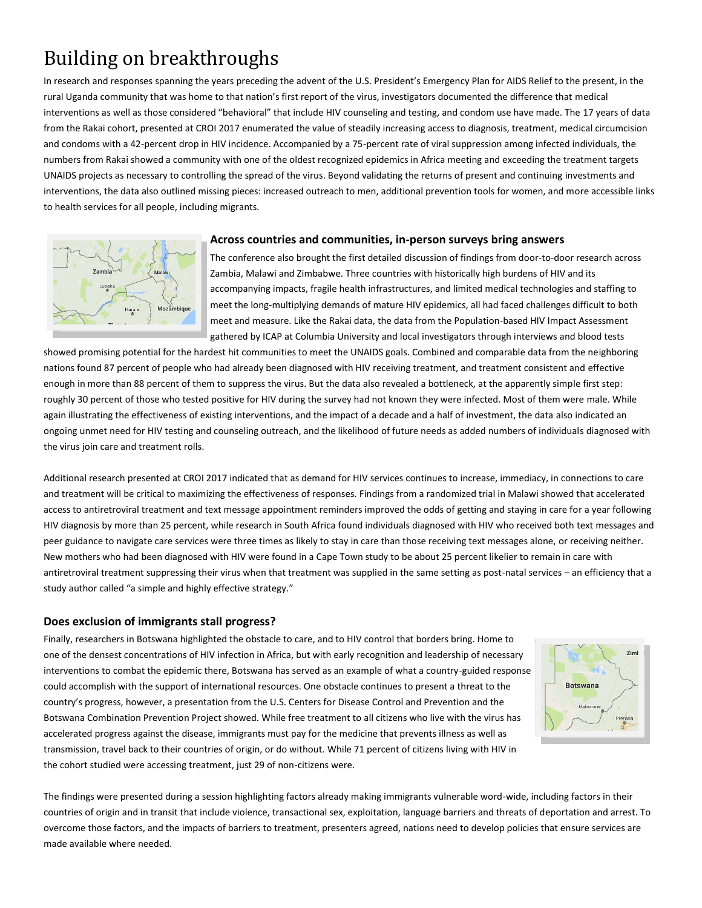## Building on breakthroughs

In research and responses spanning the years preceding the advent of the U.S. President's Emergency Plan for AIDS Relief to the present, in the rural Uganda community that was home to that nation's first report of the virus, investigators documented the difference that medical interventions as well as those considered "behavioral" that include HIV counseling and testing, and condom use have made. The 17 years of data from the Rakai cohort, presented at CROI 2017 enumerated the value of steadily increasing access to diagnosis, treatment, medical circumcision and condoms with a 42-percent drop in HIV incidence. Accompanied by a 75-percent rate of viral suppression among infected individuals, the numbers from Rakai showed a community with one of the oldest recognized epidemics in Africa meeting and exceeding the treatment targets UNAIDS projects as necessary to controlling the spread of the virus. Beyond validating the returns of present and continuing investments and interventions, the data also outlined missing pieces: increased outreach to men, additional prevention tools for women, and more accessible links to health services for all people, including migrants.



#### **Across countries and communities, in-person surveys bring answers**

The conference also brought the first detailed discussion of findings from door-to-door research across Zambia, Malawi and Zimbabwe. Three countries with historically high burdens of HIV and its accompanying impacts, fragile health infrastructures, and limited medical technologies and staffing to meet the long-multiplying demands of mature HIV epidemics, all had faced challenges difficult to both meet and measure. Like the Rakai data, the data from the Population-based HIV Impact Assessment gathered by ICAP at Columbia University and local investigators through interviews and blood tests

showed promising potential for the hardest hit communities to meet the UNAIDS goals. Combined and comparable data from the neighboring nations found 87 percent of people who had already been diagnosed with HIV receiving treatment, and treatment consistent and effective enough in more than 88 percent of them to suppress the virus. But the data also revealed a bottleneck, at the apparently simple first step: roughly 30 percent of those who tested positive for HIV during the survey had not known they were infected. Most of them were male. While again illustrating the effectiveness of existing interventions, and the impact of a decade and a half of investment, the data also indicated an ongoing unmet need for HIV testing and counseling outreach, and the likelihood of future needs as added numbers of individuals diagnosed with the virus join care and treatment rolls.

Additional research presented at CROI 2017 indicated that as demand for HIV services continues to increase, immediacy, in connections to care and treatment will be critical to maximizing the effectiveness of responses. Findings from a randomized trial in Malawi showed that accelerated access to antiretroviral treatment and text message appointment reminders improved the odds of getting and staying in care for a year following HIV diagnosis by more than 25 percent, while research in South Africa found individuals diagnosed with HIV who received both text messages and peer guidance to navigate care services were three times as likely to stay in care than those receiving text messages alone, or receiving neither. New mothers who had been diagnosed with HIV were found in a Cape Town study to be about 25 percent likelier to remain in care with antiretroviral treatment suppressing their virus when that treatment was supplied in the same setting as post-natal services – an efficiency that a study author called "a simple and highly effective strategy."

#### **Does exclusion of immigrants stall progress?**

Finally, researchers in Botswana highlighted the obstacle to care, and to HIV control that borders bring. Home to one of the densest concentrations of HIV infection in Africa, but with early recognition and leadership of necessary interventions to combat the epidemic there, Botswana has served as an example of what a country-guided response could accomplish with the support of international resources. One obstacle continues to present a threat to the country's progress, however, a presentation from the U.S. Centers for Disease Control and Prevention and the Botswana Combination Prevention Project showed. While free treatment to all citizens who live with the virus has accelerated progress against the disease, immigrants must pay for the medicine that prevents illness as well as transmission, travel back to their countries of origin, or do without. While 71 percent of citizens living with HIV in the cohort studied were accessing treatment, just 29 of non-citizens were.



The findings were presented during a session highlighting factors already making immigrants vulnerable word-wide, including factors in their countries of origin and in transit that include violence, transactional sex, exploitation, language barriers and threats of deportation and arrest. To overcome those factors, and the impacts of barriers to treatment, presenters agreed, nations need to develop policies that ensure services are made available where needed.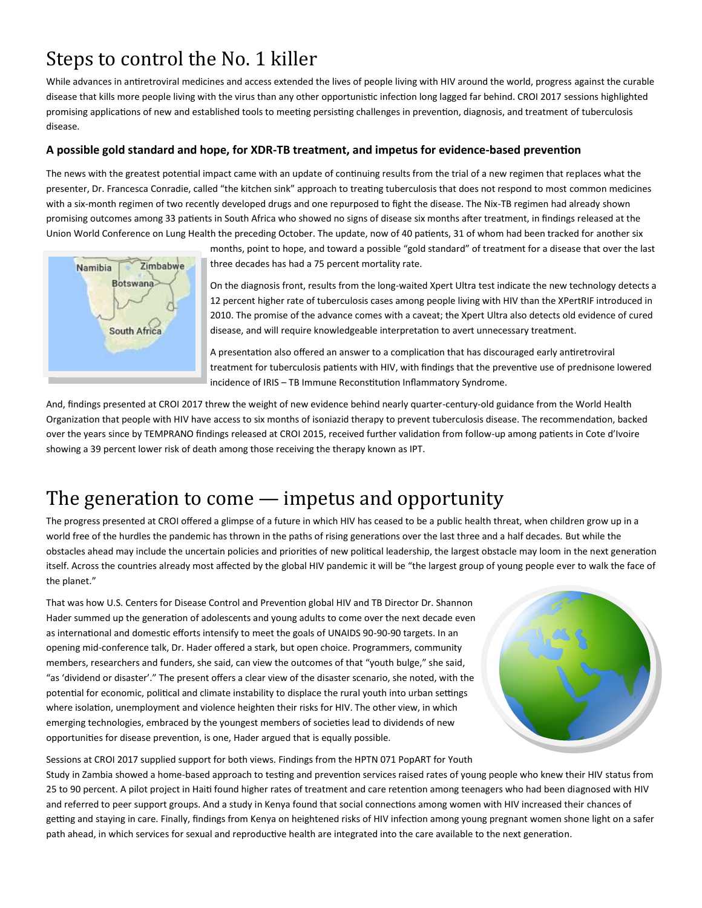### Steps to control the No. 1 killer

While advances in antiretroviral medicines and access extended the lives of people living with HIV around the world, progress against the curable disease that kills more people living with the virus than any other opportunistic infection long lagged far behind. CROI 2017 sessions highlighted promising applications of new and established tools to meeting persisting challenges in prevention, diagnosis, and treatment of tuberculosis disease.

#### **A possible gold standard and hope, for XDR-TB treatment, and impetus for evidence-based prevention**

The news with the greatest potential impact came with an update of continuing results from the trial of a new regimen that replaces what the presenter, Dr. Francesca Conradie, called "the kitchen sink" approach to treating tuberculosis that does not respond to most common medicines with a six-month regimen of two recently developed drugs and one repurposed to fight the disease. The Nix-TB regimen had already shown promising outcomes among 33 patients in South Africa who showed no signs of disease six months after treatment, in findings released at the Union World Conference on Lung Health the preceding October. The update, now of 40 patients, 31 of whom had been tracked for another six



months, point to hope, and toward a possible "gold standard" of treatment for a disease that over the last three decades has had a 75 percent mortality rate.

On the diagnosis front, results from the long-waited Xpert Ultra test indicate the new technology detects a 12 percent higher rate of tuberculosis cases among people living with HIV than the XPertRIF introduced in 2010. The promise of the advance comes with a caveat; the Xpert Ultra also detects old evidence of cured disease, and will require knowledgeable interpretation to avert unnecessary treatment.

A presentation also offered an answer to a complication that has discouraged early antiretroviral treatment for tuberculosis patients with HIV, with findings that the preventive use of prednisone lowered incidence of IRIS – TB Immune Reconstitution Inflammatory Syndrome.

And, findings presented at CROI 2017 threw the weight of new evidence behind nearly quarter-century-old guidance from the World Health Organization that people with HIV have access to six months of isoniazid therapy to prevent tuberculosis disease. The recommendation, backed over the years since by TEMPRANO findings released at CROI 2015, received further validation from follow-up among patients in Cote d'Ivoire showing a 39 percent lower risk of death among those receiving the therapy known as IPT.

### The generation to come — impetus and opportunity

The progress presented at CROI offered a glimpse of a future in which HIV has ceased to be a public health threat, when children grow up in a world free of the hurdles the pandemic has thrown in the paths of rising generations over the last three and a half decades. But while the obstacles ahead may include the uncertain policies and priorities of new political leadership, the largest obstacle may loom in the next generation itself. Across the countries already most affected by the global HIV pandemic it will be "the largest group of young people ever to walk the face of the planet."

That was how U.S. Centers for Disease Control and Prevention global HIV and TB Director Dr. Shannon Hader summed up the generation of adolescents and young adults to come over the next decade even as international and domestic efforts intensify to meet the goals of UNAIDS 90-90-90 targets. In an opening mid-conference talk, Dr. Hader offered a stark, but open choice. Programmers, community members, researchers and funders, she said, can view the outcomes of that "youth bulge," she said, "as 'dividend or disaster'." The present offers a clear view of the disaster scenario, she noted, with the potential for economic, political and climate instability to displace the rural youth into urban settings where isolation, unemployment and violence heighten their risks for HIV. The other view, in which emerging technologies, embraced by the youngest members of societies lead to dividends of new opportunities for disease prevention, is one, Hader argued that is equally possible.



Sessions at CROI 2017 supplied support for both views. Findings from the HPTN 071 PopART for Youth

Study in Zambia showed a home-based approach to testing and prevention services raised rates of young people who knew their HIV status from 25 to 90 percent. A pilot project in Haiti found higher rates of treatment and care retention among teenagers who had been diagnosed with HIV and referred to peer support groups. And a study in Kenya found that social connections among women with HIV increased their chances of getting and staying in care. Finally, findings from Kenya on heightened risks of HIV infection among young pregnant women shone light on a safer path ahead, in which services for sexual and reproductive health are integrated into the care available to the next generation.